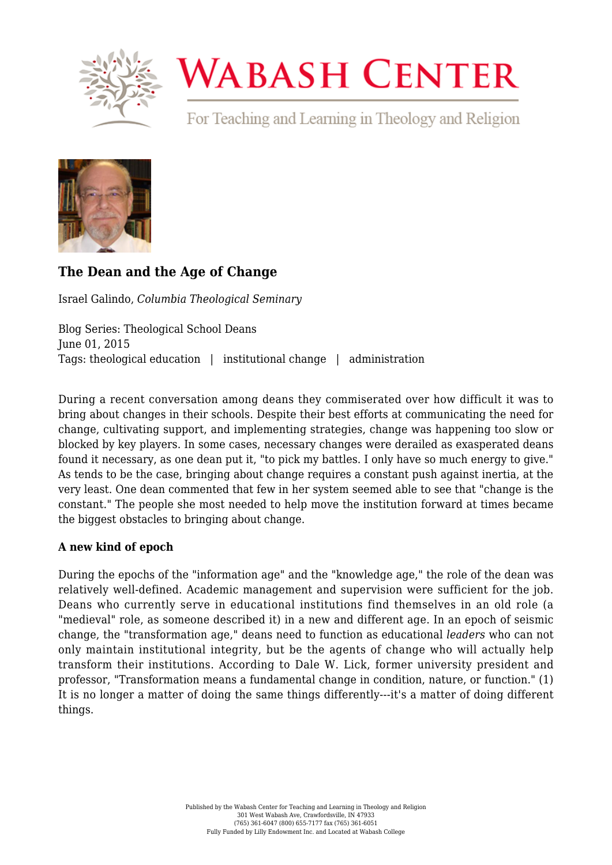

# **WABASH CENTER**

For Teaching and Learning in Theology and Religion



## **[The Dean and the Age of Change](https://www.wabashcenter.wabash.edu/2015/06/the-dean-and-the-age-of-change/)**

Israel Galindo, *Columbia Theological Seminary*

Blog Series: Theological School Deans June 01, 2015 Tags: theological education | institutional change | administration

During a recent conversation among deans they commiserated over how difficult it was to bring about changes in their schools. Despite their best efforts at communicating the need for change, cultivating support, and implementing strategies, change was happening too slow or blocked by key players. In some cases, necessary changes were derailed as exasperated deans found it necessary, as one dean put it, "to pick my battles. I only have so much energy to give." As tends to be the case, bringing about change requires a constant push against inertia, at the very least. One dean commented that few in her system seemed able to see that "change is the constant." The people she most needed to help move the institution forward at times became the biggest obstacles to bringing about change.

### **A new kind of epoch**

During the epochs of the "information age" and the "knowledge age," the role of the dean was relatively well-defined. Academic management and supervision were sufficient for the job. Deans who currently serve in educational institutions find themselves in an old role (a "medieval" role, as someone described it) in a new and different age. In an epoch of seismic change, the "transformation age," deans need to function as educational *leaders* who can not only maintain institutional integrity, but be the agents of change who will actually help transform their institutions. According to Dale W. Lick, former university president and professor, "Transformation means a fundamental change in condition, nature, or function." (1) It is no longer a matter of doing the same things differently---it's a matter of doing different things.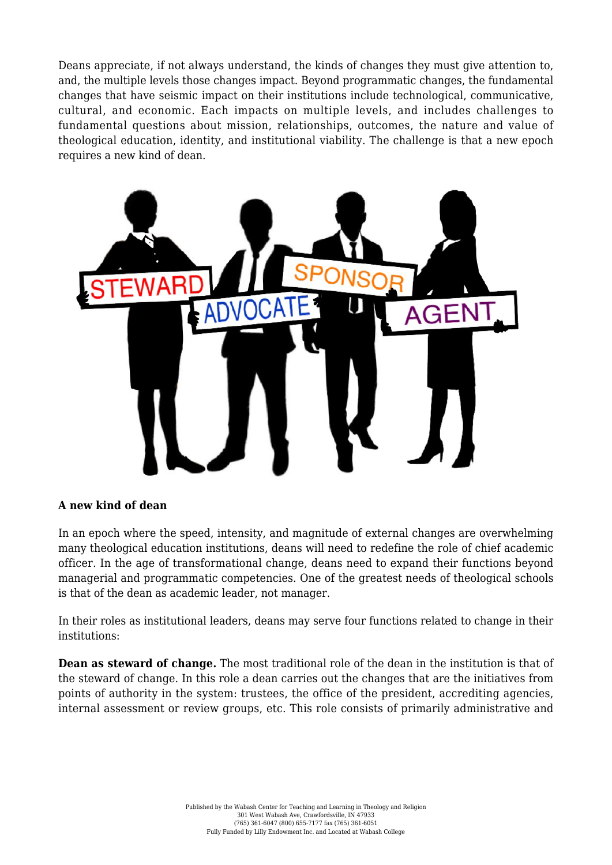Deans appreciate, if not always understand, the kinds of changes they must give attention to, and, the multiple levels those changes impact. Beyond programmatic changes, the fundamental changes that have seismic impact on their institutions include technological, communicative, cultural, and economic. Each impacts on multiple levels, and includes challenges to fundamental questions about mission, relationships, outcomes, the nature and value of theological education, identity, and institutional viability. The challenge is that a new epoch requires a new kind of dean.



#### **A new kind of dean**

In an epoch where the speed, intensity, and magnitude of external changes are overwhelming many theological education institutions, deans will need to redefine the role of chief academic officer. In the age of transformational change, deans need to expand their functions beyond managerial and programmatic competencies. One of the greatest needs of theological schools is that of the dean as academic leader, not manager.

In their roles as institutional leaders, deans may serve four functions related to change in their institutions:

**Dean as steward of change.** The most traditional role of the dean in the institution is that of the steward of change. In this role a dean carries out the changes that are the initiatives from points of authority in the system: trustees, the office of the president, accrediting agencies, internal assessment or review groups, etc. This role consists of primarily administrative and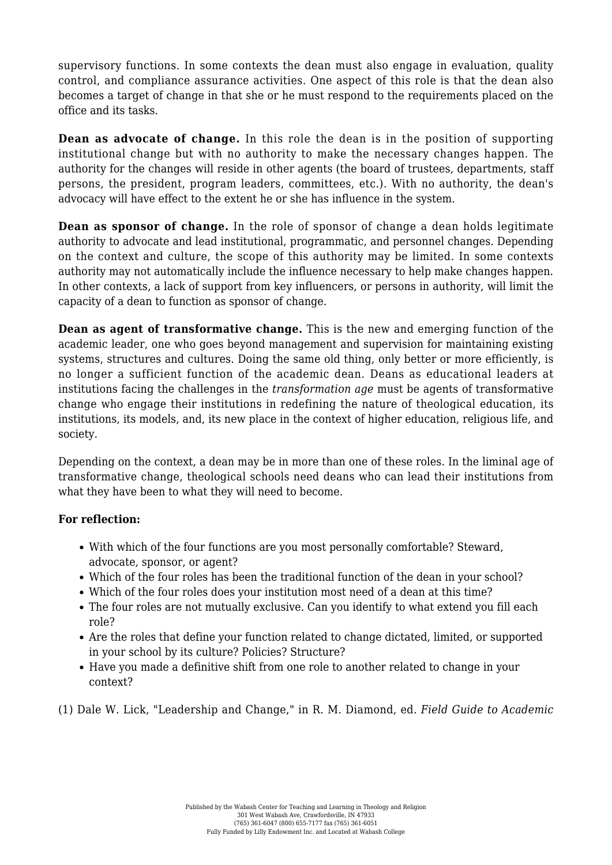supervisory functions. In some contexts the dean must also engage in evaluation, quality control, and compliance assurance activities. One aspect of this role is that the dean also becomes a target of change in that she or he must respond to the requirements placed on the office and its tasks.

**Dean as advocate of change.** In this role the dean is in the position of supporting institutional change but with no authority to make the necessary changes happen. The authority for the changes will reside in other agents (the board of trustees, departments, staff persons, the president, program leaders, committees, etc.). With no authority, the dean's advocacy will have effect to the extent he or she has influence in the system.

**Dean as sponsor of change.** In the role of sponsor of change a dean holds legitimate authority to advocate and lead institutional, programmatic, and personnel changes. Depending on the context and culture, the scope of this authority may be limited. In some contexts authority may not automatically include the influence necessary to help make changes happen. In other contexts, a lack of support from key influencers, or persons in authority, will limit the capacity of a dean to function as sponsor of change.

**Dean as agent of transformative change.** This is the new and emerging function of the academic leader, one who goes beyond management and supervision for maintaining existing systems, structures and cultures. Doing the same old thing, only better or more efficiently, is no longer a sufficient function of the academic dean. Deans as educational leaders at institutions facing the challenges in the *transformation age* must be agents of transformative change who engage their institutions in redefining the nature of theological education, its institutions, its models, and, its new place in the context of higher education, religious life, and society.

Depending on the context, a dean may be in more than one of these roles. In the liminal age of transformative change, theological schools need deans who can lead their institutions from what they have been to what they will need to become.

#### **For reflection:**

- With which of the four functions are you most personally comfortable? Steward, advocate, sponsor, or agent?
- Which of the four roles has been the traditional function of the dean in your school?
- Which of the four roles does your institution most need of a dean at this time?
- The four roles are not mutually exclusive. Can you identify to what extend you fill each role?
- Are the roles that define your function related to change dictated, limited, or supported in your school by its culture? Policies? Structure?
- Have you made a definitive shift from one role to another related to change in your context?

(1) Dale W. Lick, "Leadership and Change," in R. M. Diamond, ed. *Field Guide to Academic*